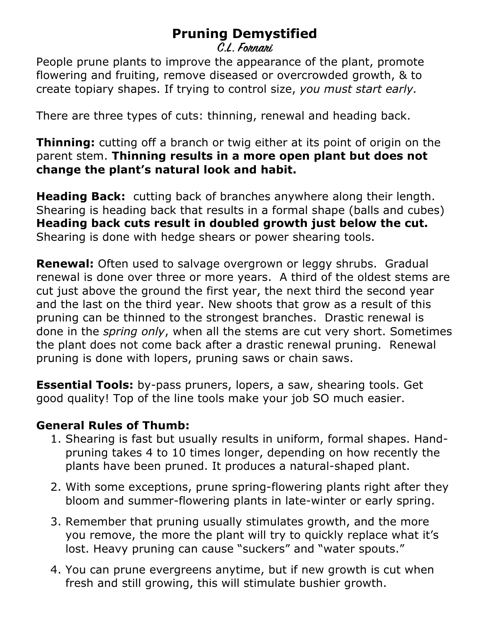## **Pruning Demystified**

**C.L. Fornari**

People prune plants to improve the appearance of the plant, promote flowering and fruiting, remove diseased or overcrowded growth, & to create topiary shapes. If trying to control size, *you must start early.*

There are three types of cuts: thinning, renewal and heading back.

**Thinning:** cutting off a branch or twig either at its point of origin on the parent stem. **Thinning results in a more open plant but does not change the plant's natural look and habit.** 

**Heading Back:** cutting back of branches anywhere along their length. Shearing is heading back that results in a formal shape (balls and cubes) **Heading back cuts result in doubled growth just below the cut.** Shearing is done with hedge shears or power shearing tools.

**Renewal:** Often used to salvage overgrown or leggy shrubs. Gradual renewal is done over three or more years. A third of the oldest stems are cut just above the ground the first year, the next third the second year and the last on the third year. New shoots that grow as a result of this pruning can be thinned to the strongest branches. Drastic renewal is done in the *spring only*, when all the stems are cut very short. Sometimes the plant does not come back after a drastic renewal pruning. Renewal pruning is done with lopers, pruning saws or chain saws.

**Essential Tools:** by-pass pruners, lopers, a saw, shearing tools. Get good quality! Top of the line tools make your job SO much easier.

## **General Rules of Thumb:**

- 1. Shearing is fast but usually results in uniform, formal shapes. Handpruning takes 4 to 10 times longer, depending on how recently the plants have been pruned. It produces a natural-shaped plant.
- 2. With some exceptions, prune spring-flowering plants right after they bloom and summer-flowering plants in late-winter or early spring.
- 3. Remember that pruning usually stimulates growth, and the more you remove, the more the plant will try to quickly replace what it's lost. Heavy pruning can cause "suckers" and "water spouts."
- 4. You can prune evergreens anytime, but if new growth is cut when fresh and still growing, this will stimulate bushier growth.